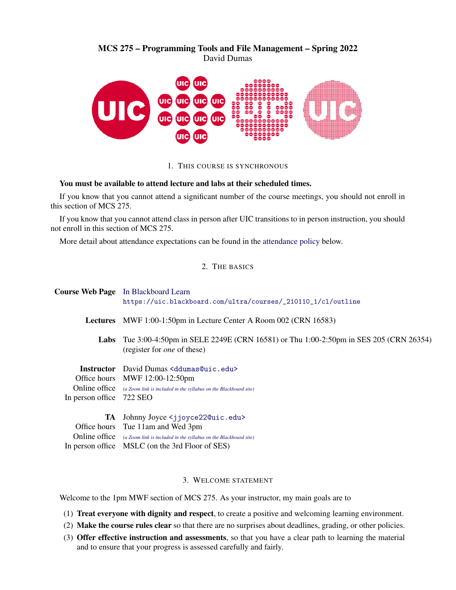# MCS 275 – Programming Tools and File Management – Spring 2022 David Dumas



1. THIS COURSE IS SYNCHRONOUS

### You must be available to attend lecture and labs at their scheduled times.

If you know that you cannot attend a significant number of the course meetings, you should not enroll in this section of MCS 275.

If you know that you cannot attend class in person after UIC transitions to in person instruction, you should not enroll in this section of MCS 275.

More detail about attendance expectations can be found in the [attendance policy](#page-4-0) below.

# 2. THE BASICS

|                                           | <b>Course Web Page</b> In Blackboard Learn<br>https://uic.blackboard.com/ultra/courses/_210110_1/cl/outline                                                                                                                            |  |  |
|-------------------------------------------|----------------------------------------------------------------------------------------------------------------------------------------------------------------------------------------------------------------------------------------|--|--|
| Lectures                                  | MWF 1:00-1:50pm in Lecture Center A Room 002 (CRN 16583)                                                                                                                                                                               |  |  |
| Labs                                      | Tue 3:00-4:50pm in SELE 2249E (CRN 16581) or Thu 1:00-2:50pm in SES 205 (CRN 26354)<br>(register for <i>one</i> of these)                                                                                                              |  |  |
| Online office<br>In person office 722 SEO | <b>Instructor</b> David Dumas <ddumas@uic.edu><br/>Office hours MWF 12:00-12:50pm<br/>(a Zoom link is included in the syllabus on the Blackboard site)</ddumas@uic.edu>                                                                |  |  |
| 'TA                                       | Johnny Joyce <jjoyce22@uic.edu><br/>Office hours Tue 11am and Wed 3pm<br/><b>Online office</b> (a Zoom link is included in the syllabus on the Blackboard site)<br/>In person office MSLC (on the 3rd Floor of SES)</jjoyce22@uic.edu> |  |  |

# 3. WELCOME STATEMENT

Welcome to the 1pm MWF section of MCS 275. As your instructor, my main goals are to

- (1) Treat everyone with dignity and respect, to create a positive and welcoming learning environment.
- (2) Make the course rules clear so that there are no surprises about deadlines, grading, or other policies.
- (3) Offer effective instruction and assessments, so that you have a clear path to learning the material and to ensure that your progress is assessed carefully and fairly.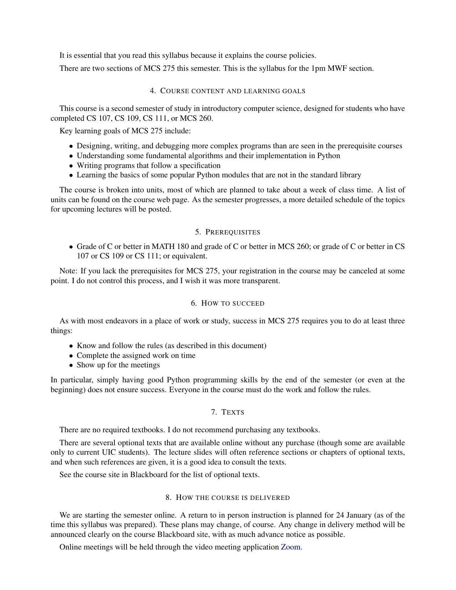It is essential that you read this syllabus because it explains the course policies.

There are two sections of MCS 275 this semester. This is the syllabus for the 1pm MWF section.

### 4. COURSE CONTENT AND LEARNING GOALS

This course is a second semester of study in introductory computer science, designed for students who have completed CS 107, CS 109, CS 111, or MCS 260.

Key learning goals of MCS 275 include:

- Designing, writing, and debugging more complex programs than are seen in the prerequisite courses
- Understanding some fundamental algorithms and their implementation in Python
- Writing programs that follow a specification
- Learning the basics of some popular Python modules that are not in the standard library

The course is broken into units, most of which are planned to take about a week of class time. A list of units can be found on the course web page. As the semester progresses, a more detailed schedule of the topics for upcoming lectures will be posted.

### 5. PREREQUISITES

• Grade of C or better in MATH 180 and grade of C or better in MCS 260; or grade of C or better in CS 107 or CS 109 or CS 111; or equivalent.

Note: If you lack the prerequisites for MCS 275, your registration in the course may be canceled at some point. I do not control this process, and I wish it was more transparent.

# 6. HOW TO SUCCEED

As with most endeavors in a place of work or study, success in MCS 275 requires you to do at least three things:

- Know and follow the rules (as described in this document)
- Complete the assigned work on time
- Show up for the meetings

In particular, simply having good Python programming skills by the end of the semester (or even at the beginning) does not ensure success. Everyone in the course must do the work and follow the rules.

# 7. TEXTS

There are no required textbooks. I do not recommend purchasing any textbooks.

There are several optional texts that are available online without any purchase (though some are available only to current UIC students). The lecture slides will often reference sections or chapters of optional texts, and when such references are given, it is a good idea to consult the texts.

See the course site in Blackboard for the list of optional texts.

### 8. HOW THE COURSE IS DELIVERED

We are starting the semester online. A return to in person instruction is planned for 24 January (as of the time this syllabus was prepared). These plans may change, of course. Any change in delivery method will be announced clearly on the course Blackboard site, with as much advance notice as possible.

Online meetings will be held through the video meeting application [Zoom.](https://zoom.us/)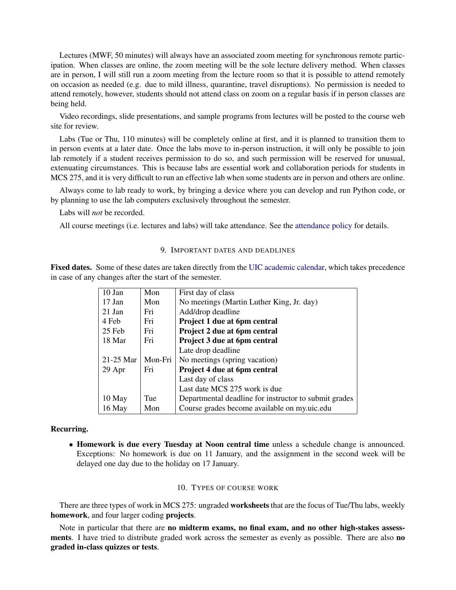Lectures (MWF, 50 minutes) will always have an associated zoom meeting for synchronous remote participation. When classes are online, the zoom meeting will be the sole lecture delivery method. When classes are in person, I will still run a zoom meeting from the lecture room so that it is possible to attend remotely on occasion as needed (e.g. due to mild illness, quarantine, travel disruptions). No permission is needed to attend remotely, however, students should not attend class on zoom on a regular basis if in person classes are being held.

Video recordings, slide presentations, and sample programs from lectures will be posted to the course web site for review.

Labs (Tue or Thu, 110 minutes) will be completely online at first, and it is planned to transition them to in person events at a later date. Once the labs move to in-person instruction, it will only be possible to join lab remotely if a student receives permission to do so, and such permission will be reserved for unusual, extenuating circumstances. This is because labs are essential work and collaboration periods for students in MCS 275, and it is very difficult to run an effective lab when some students are in person and others are online.

Always come to lab ready to work, by bringing a device where you can develop and run Python code, or by planning to use the lab computers exclusively throughout the semester.

Labs will *not* be recorded.

<span id="page-2-0"></span>All course meetings (i.e. lectures and labs) will take attendance. See the [attendance policy](#page-4-0) for details.

## 9. IMPORTANT DATES AND DEADLINES

Fixed dates. Some of these dates are taken directly from the [UIC academic calendar,](https://catalog.uic.edu/ucat/academic-calendar/) which takes precedence in case of any changes after the start of the semester.

| 10 Jan      | Mon     | First day of class                                    |
|-------------|---------|-------------------------------------------------------|
| 17 Jan      | Mon     | No meetings (Martin Luther King, Jr. day)             |
| 21 Jan      | Fri     | Add/drop deadline                                     |
| 4 Feb       | Fri     | Project 1 due at 6pm central                          |
| 25 Feb      | Fri     | Project 2 due at 6pm central                          |
| 18 Mar      | Fri     | Project 3 due at 6pm central                          |
|             |         | Late drop deadline                                    |
| $21-25$ Mar | Mon-Fri | No meetings (spring vacation)                         |
| 29 Apr      | Fri     | Project 4 due at 6pm central                          |
|             |         | Last day of class                                     |
|             |         | Last date MCS 275 work is due                         |
| 10 May      | Tue     | Departmental deadline for instructor to submit grades |
| 16 May      | Mon     | Course grades become available on my.uic.edu          |
|             |         |                                                       |

### Recurring.

• Homework is due every Tuesday at Noon central time unless a schedule change is announced. Exceptions: No homework is due on 11 January, and the assignment in the second week will be delayed one day due to the holiday on 17 January.

#### 10. TYPES OF COURSE WORK

There are three types of work in MCS 275: ungraded **worksheets** that are the focus of Tue/Thu labs, weekly homework, and four larger coding projects.

Note in particular that there are no midterm exams, no final exam, and no other high-stakes assessments. I have tried to distribute graded work across the semester as evenly as possible. There are also no graded in-class quizzes or tests.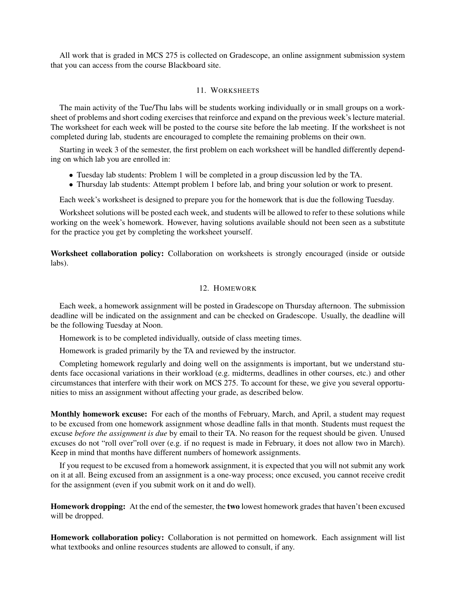All work that is graded in MCS 275 is collected on Gradescope, an online assignment submission system that you can access from the course Blackboard site.

## 11. WORKSHEETS

The main activity of the Tue/Thu labs will be students working individually or in small groups on a worksheet of problems and short coding exercises that reinforce and expand on the previous week's lecture material. The worksheet for each week will be posted to the course site before the lab meeting. If the worksheet is not completed during lab, students are encouraged to complete the remaining problems on their own.

Starting in week 3 of the semester, the first problem on each worksheet will be handled differently depending on which lab you are enrolled in:

- Tuesday lab students: Problem 1 will be completed in a group discussion led by the TA.
- Thursday lab students: Attempt problem 1 before lab, and bring your solution or work to present.

Each week's worksheet is designed to prepare you for the homework that is due the following Tuesday.

Worksheet solutions will be posted each week, and students will be allowed to refer to these solutions while working on the week's homework. However, having solutions available should not been seen as a substitute for the practice you get by completing the worksheet yourself.

Worksheet collaboration policy: Collaboration on worksheets is strongly encouraged (inside or outside labs).

# 12. HOMEWORK

<span id="page-3-0"></span>Each week, a homework assignment will be posted in Gradescope on Thursday afternoon. The submission deadline will be indicated on the assignment and can be checked on Gradescope. Usually, the deadline will be the following Tuesday at Noon.

Homework is to be completed individually, outside of class meeting times.

Homework is graded primarily by the TA and reviewed by the instructor.

Completing homework regularly and doing well on the assignments is important, but we understand students face occasional variations in their workload (e.g. midterms, deadlines in other courses, etc.) and other circumstances that interfere with their work on MCS 275. To account for these, we give you several opportunities to miss an assignment without affecting your grade, as described below.

Monthly homework excuse: For each of the months of February, March, and April, a student may request to be excused from one homework assignment whose deadline falls in that month. Students must request the excuse *before the assignment is due* by email to their TA. No reason for the request should be given. Unused excuses do not "roll over"roll over (e.g. if no request is made in February, it does not allow two in March). Keep in mind that months have different numbers of homework assignments.

If you request to be excused from a homework assignment, it is expected that you will not submit any work on it at all. Being excused from an assignment is a one-way process; once excused, you cannot receive credit for the assignment (even if you submit work on it and do well).

Homework dropping: At the end of the semester, the two lowest homework grades that haven't been excused will be dropped.

Homework collaboration policy: Collaboration is not permitted on homework. Each assignment will list what textbooks and online resources students are allowed to consult, if any.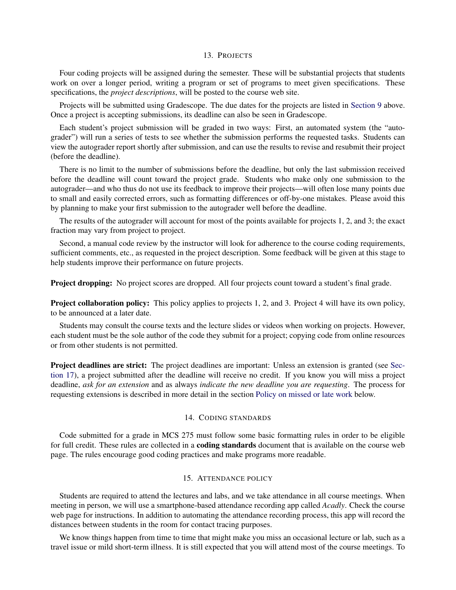### 13. PROJECTS

Four coding projects will be assigned during the semester. These will be substantial projects that students work on over a longer period, writing a program or set of programs to meet given specifications. These specifications, the *project descriptions*, will be posted to the course web site.

Projects will be submitted using Gradescope. The due dates for the projects are listed in [Section 9](#page-2-0) above. Once a project is accepting submissions, its deadline can also be seen in Gradescope.

Each student's project submission will be graded in two ways: First, an automated system (the "autograder") will run a series of tests to see whether the submission performs the requested tasks. Students can view the autograder report shortly after submission, and can use the results to revise and resubmit their project (before the deadline).

There is no limit to the number of submissions before the deadline, but only the last submission received before the deadline will count toward the project grade. Students who make only one submission to the autograder—and who thus do not use its feedback to improve their projects—will often lose many points due to small and easily corrected errors, such as formatting differences or off-by-one mistakes. Please avoid this by planning to make your first submission to the autograder well before the deadline.

The results of the autograder will account for most of the points available for projects 1, 2, and 3; the exact fraction may vary from project to project.

Second, a manual code review by the instructor will look for adherence to the course coding requirements, sufficient comments, etc., as requested in the project description. Some feedback will be given at this stage to help students improve their performance on future projects.

Project dropping: No project scores are dropped. All four projects count toward a student's final grade.

Project collaboration policy: This policy applies to projects 1, 2, and 3. Project 4 will have its own policy, to be announced at a later date.

Students may consult the course texts and the lecture slides or videos when working on projects. However, each student must be the sole author of the code they submit for a project; copying code from online resources or from other students is not permitted.

Project deadlines are strict: The project deadlines are important: Unless an extension is granted (see [Sec](#page-5-0)[tion 17\)](#page-5-0), a project submitted after the deadline will receive no credit. If you know you will miss a project deadline, *ask for an extension* and as always *indicate the new deadline you are requesting*. The process for requesting extensions is described in more detail in the section [Policy on missed or late work](#page-5-0) below.

### 14. CODING STANDARDS

Code submitted for a grade in MCS 275 must follow some basic formatting rules in order to be eligible for full credit. These rules are collected in a **coding standards** document that is available on the course web page. The rules encourage good coding practices and make programs more readable.

### 15. ATTENDANCE POLICY

<span id="page-4-0"></span>Students are required to attend the lectures and labs, and we take attendance in all course meetings. When meeting in person, we will use a smartphone-based attendance recording app called *Acadly*. Check the course web page for instructions. In addition to automating the attendance recording process, this app will record the distances between students in the room for contact tracing purposes.

We know things happen from time to time that might make you miss an occasional lecture or lab, such as a travel issue or mild short-term illness. It is still expected that you will attend most of the course meetings. To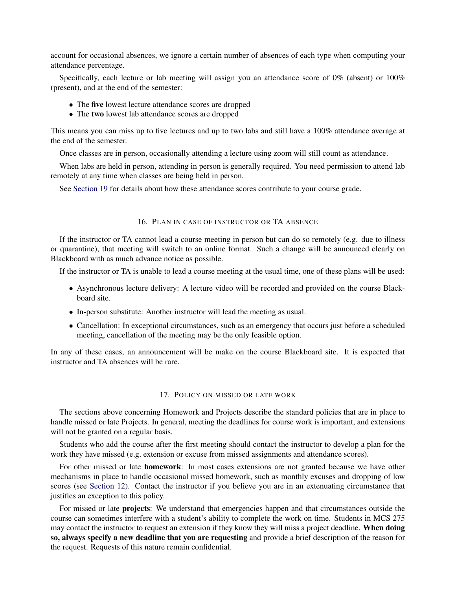account for occasional absences, we ignore a certain number of absences of each type when computing your attendance percentage.

Specifically, each lecture or lab meeting will assign you an attendance score of 0% (absent) or 100% (present), and at the end of the semester:

- The five lowest lecture attendance scores are dropped
- The two lowest lab attendance scores are dropped

This means you can miss up to five lectures and up to two labs and still have a 100% attendance average at the end of the semester.

Once classes are in person, occasionally attending a lecture using zoom will still count as attendance.

When labs are held in person, attending in person is generally required. You need permission to attend lab remotely at any time when classes are being held in person.

See [Section 19](#page-6-0) for details about how these attendance scores contribute to your course grade.

### 16. PLAN IN CASE OF INSTRUCTOR OR TA ABSENCE

If the instructor or TA cannot lead a course meeting in person but can do so remotely (e.g. due to illness or quarantine), that meeting will switch to an online format. Such a change will be announced clearly on Blackboard with as much advance notice as possible.

If the instructor or TA is unable to lead a course meeting at the usual time, one of these plans will be used:

- Asynchronous lecture delivery: A lecture video will be recorded and provided on the course Blackboard site.
- In-person substitute: Another instructor will lead the meeting as usual.
- Cancellation: In exceptional circumstances, such as an emergency that occurs just before a scheduled meeting, cancellation of the meeting may be the only feasible option.

In any of these cases, an announcement will be make on the course Blackboard site. It is expected that instructor and TA absences will be rare.

#### 17. POLICY ON MISSED OR LATE WORK

<span id="page-5-0"></span>The sections above concerning Homework and Projects describe the standard policies that are in place to handle missed or late Projects. In general, meeting the deadlines for course work is important, and extensions will not be granted on a regular basis.

Students who add the course after the first meeting should contact the instructor to develop a plan for the work they have missed (e.g. extension or excuse from missed assignments and attendance scores).

For other missed or late homework: In most cases extensions are not granted because we have other mechanisms in place to handle occasional missed homework, such as monthly excuses and dropping of low scores (see [Section 12\)](#page-3-0). Contact the instructor if you believe you are in an extenuating circumstance that justifies an exception to this policy.

For missed or late projects: We understand that emergencies happen and that circumstances outside the course can sometimes interfere with a student's ability to complete the work on time. Students in MCS 275 may contact the instructor to request an extension if they know they will miss a project deadline. When doing so, always specify a new deadline that you are requesting and provide a brief description of the reason for the request. Requests of this nature remain confidential.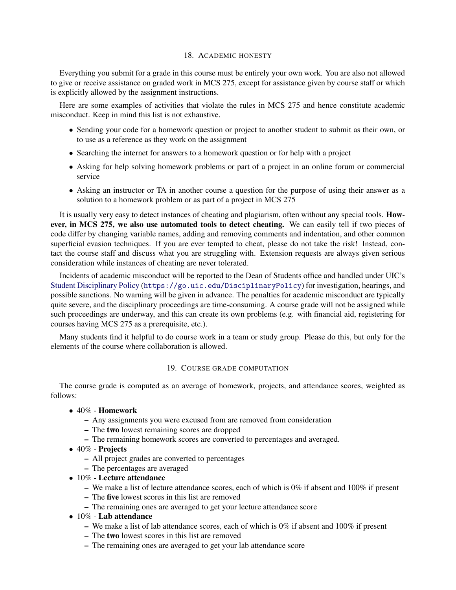### 18. ACADEMIC HONESTY

Everything you submit for a grade in this course must be entirely your own work. You are also not allowed to give or receive assistance on graded work in MCS 275, except for assistance given by course staff or which is explicitly allowed by the assignment instructions.

Here are some examples of activities that violate the rules in MCS 275 and hence constitute academic misconduct. Keep in mind this list is not exhaustive.

- Sending your code for a homework question or project to another student to submit as their own, or to use as a reference as they work on the assignment
- Searching the internet for answers to a homework question or for help with a project
- Asking for help solving homework problems or part of a project in an online forum or commercial service
- Asking an instructor or TA in another course a question for the purpose of using their answer as a solution to a homework problem or as part of a project in MCS 275

It is usually very easy to detect instances of cheating and plagiarism, often without any special tools. However, in MCS 275, we also use automated tools to detect cheating. We can easily tell if two pieces of code differ by changing variable names, adding and removing comments and indentation, and other common superficial evasion techniques. If you are ever tempted to cheat, please do not take the risk! Instead, contact the course staff and discuss what you are struggling with. Extension requests are always given serious consideration while instances of cheating are never tolerated.

Incidents of academic misconduct will be reported to the Dean of Students office and handled under UIC's [Student Disciplinary Policy](https://go.uic.edu/DisciplinaryPolicy) (<https://go.uic.edu/DisciplinaryPolicy>) for investigation, hearings, and possible sanctions. No warning will be given in advance. The penalties for academic misconduct are typically quite severe, and the disciplinary proceedings are time-consuming. A course grade will not be assigned while such proceedings are underway, and this can create its own problems (e.g. with financial aid, registering for courses having MCS 275 as a prerequisite, etc.).

Many students find it helpful to do course work in a team or study group. Please do this, but only for the elements of the course where collaboration is allowed.

# 19. COURSE GRADE COMPUTATION

<span id="page-6-0"></span>The course grade is computed as an average of homework, projects, and attendance scores, weighted as follows:

- 40% Homework
	- Any assignments you were excused from are removed from consideration
	- The two lowest remaining scores are dropped
	- The remaining homework scores are converted to percentages and averaged.
- 40% Projects
	- All project grades are converted to percentages
	- The percentages are averaged
- 10% Lecture attendance
	- We make a list of lecture attendance scores, each of which is 0% if absent and 100% if present
	- The five lowest scores in this list are removed
	- The remaining ones are averaged to get your lecture attendance score
- 10% Lab attendance
	- We make a list of lab attendance scores, each of which is 0% if absent and 100% if present
	- The two lowest scores in this list are removed
	- The remaining ones are averaged to get your lab attendance score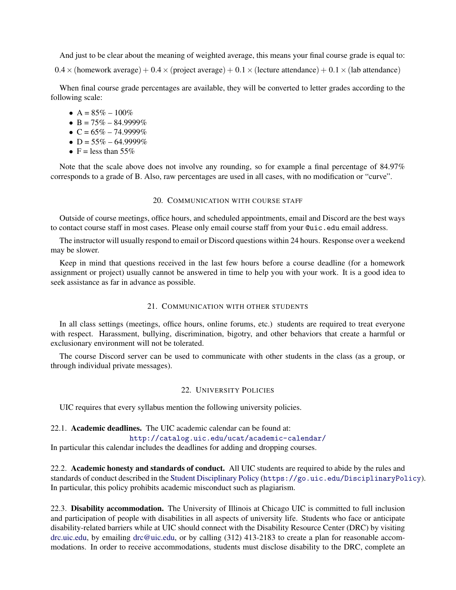And just to be clear about the meaning of weighted average, this means your final course grade is equal to:

 $0.4 \times$  (homework average) + 0.4  $\times$  (project average) + 0.1  $\times$  (lecture attendance) + 0.1  $\times$  (lab attendance)

When final course grade percentages are available, they will be converted to letter grades according to the following scale:

•  $A = 85\% - 100\%$ 

- $B = 75\% 84.9999\%$
- $C = 65\% 74.9999\%$
- $D = 55\% 64.9999\%$
- $F =$  less than 55%

Note that the scale above does not involve any rounding, so for example a final percentage of 84.97% corresponds to a grade of B. Also, raw percentages are used in all cases, with no modification or "curve".

### 20. COMMUNICATION WITH COURSE STAFF

Outside of course meetings, office hours, and scheduled appointments, email and Discord are the best ways to contact course staff in most cases. Please only email course staff from your @uic.edu email address.

The instructor will usually respond to email or Discord questions within 24 hours. Response over a weekend may be slower.

Keep in mind that questions received in the last few hours before a course deadline (for a homework assignment or project) usually cannot be answered in time to help you with your work. It is a good idea to seek assistance as far in advance as possible.

### 21. COMMUNICATION WITH OTHER STUDENTS

In all class settings (meetings, office hours, online forums, etc.) students are required to treat everyone with respect. Harassment, bullying, discrimination, bigotry, and other behaviors that create a harmful or exclusionary environment will not be tolerated.

The course Discord server can be used to communicate with other students in the class (as a group, or through individual private messages).

#### 22. UNIVERSITY POLICIES

UIC requires that every syllabus mention the following university policies.

#### 22.1. Academic deadlines. The UIC academic calendar can be found at:

<http://catalog.uic.edu/ucat/academic-calendar/>

In particular this calendar includes the deadlines for adding and dropping courses.

22.2. Academic honesty and standards of conduct. All UIC students are required to abide by the rules and standards of conduct described in the [Student Disciplinary Policy](https://go.uic.edu/DisciplinaryPolicy) (<https://go.uic.edu/DisciplinaryPolicy>). In particular, this policy prohibits academic misconduct such as plagiarism.

22.3. Disability accommodation. The University of Illinois at Chicago UIC is committed to full inclusion and participation of people with disabilities in all aspects of university life. Students who face or anticipate disability-related barriers while at UIC should connect with the Disability Resource Center (DRC) by visiting [drc.uic.edu,](https://drc.uic.edu) by emailing [drc@uic.edu,](mailto:drc@uic.edu) or by calling (312) 413-2183 to create a plan for reasonable accommodations. In order to receive accommodations, students must disclose disability to the DRC, complete an